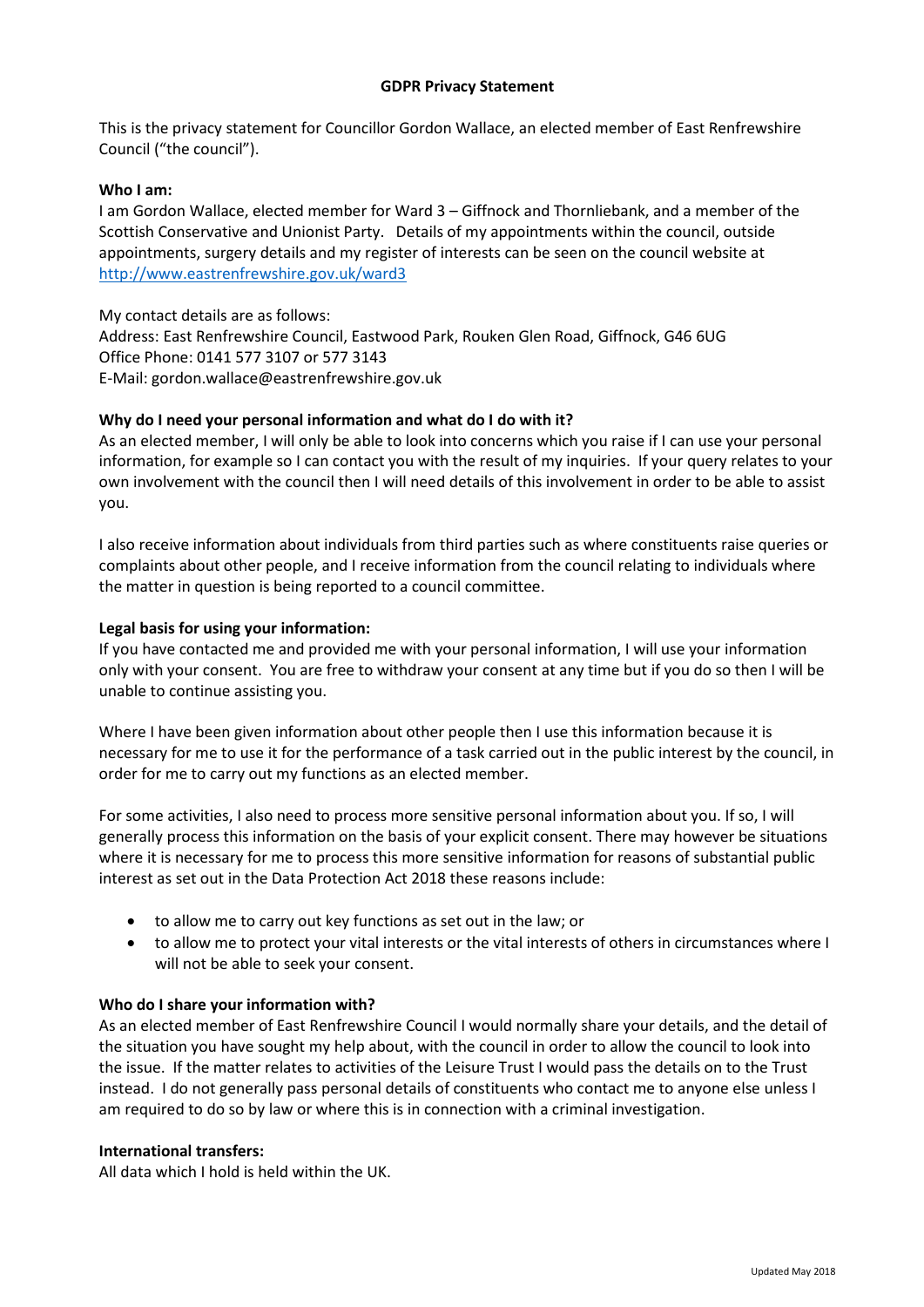This is the privacy statement for Councillor Gordon Wallace, an elected member of East Renfrewshire Council ("the council").

### **Who I am:**

I am Gordon Wallace, elected member for Ward 3 – Giffnock and Thornliebank, and a member of the Scottish Conservative and Unionist Party. Details of my appointments within the council, outside appointments, surgery details and my register of interests can be seen on the council website at <http://www.eastrenfrewshire.gov.uk/ward3>

My contact details are as follows: Address: East Renfrewshire Council, Eastwood Park, Rouken Glen Road, Giffnock, G46 6UG Office Phone: 0141 577 3107 or 577 3143 E-Mail: gordon.wallace@eastrenfrewshire.gov.uk

### **Why do I need your personal information and what do I do with it?**

As an elected member, I will only be able to look into concerns which you raise if I can use your personal information, for example so I can contact you with the result of my inquiries. If your query relates to your own involvement with the council then I will need details of this involvement in order to be able to assist you.

I also receive information about individuals from third parties such as where constituents raise queries or complaints about other people, and I receive information from the council relating to individuals where the matter in question is being reported to a council committee.

### **Legal basis for using your information:**

If you have contacted me and provided me with your personal information, I will use your information only with your consent. You are free to withdraw your consent at any time but if you do so then I will be unable to continue assisting you.

Where I have been given information about other people then I use this information because it is necessary for me to use it for the performance of a task carried out in the public interest by the council, in order for me to carry out my functions as an elected member.

For some activities, I also need to process more sensitive personal information about you. If so, I will generally process this information on the basis of your explicit consent. There may however be situations where it is necessary for me to process this more sensitive information for reasons of substantial public interest as set out in the Data Protection Act 2018 these reasons include:

- to allow me to carry out key functions as set out in the law; or
- to allow me to protect your vital interests or the vital interests of others in circumstances where I will not be able to seek your consent.

## **Who do I share your information with?**

As an elected member of East Renfrewshire Council I would normally share your details, and the detail of the situation you have sought my help about, with the council in order to allow the council to look into the issue. If the matter relates to activities of the Leisure Trust I would pass the details on to the Trust instead. I do not generally pass personal details of constituents who contact me to anyone else unless I am required to do so by law or where this is in connection with a criminal investigation.

### **International transfers:**

All data which I hold is held within the UK.